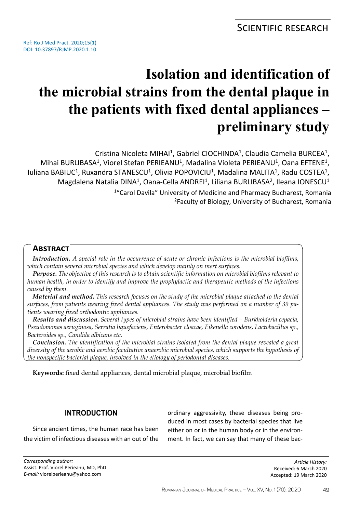# **Isolation and identification of the microbial strains from the dental plaque in the patients with fixed dental appliances – preliminary study**

<sup>1</sup>"Carol Davila" University of Medicine and Pharmacy Bucharest, Romania <sup>2</sup>Faculty of Biology, University of Bucharest, Romania Cristina Nicoleta MIHAI<sup>1</sup>, Gabriel CIOCHINDA<sup>1</sup>, Claudia Camelia BURCEA<sup>1</sup>, Mihai BURLIBASA<sup>1</sup>, Viorel Stefan PERIEANU<sup>1</sup>, Madalina Violeta PERIEANU<sup>1</sup>, Oana EFTENE<sup>1</sup>, Iuliana BABIUC<sup>1</sup>, Ruxandra STANESCU<sup>1</sup>, Olivia POPOVICIU<sup>1</sup>, Madalina MALITA<sup>1</sup>, Radu COSTEA<sup>1</sup>, Magdalena Natalia DINA<sup>1</sup>, Oana-Cella ANDREI<sup>1</sup>, Liliana BURLIBASA<sup>2</sup>, Ileana IONESCU<sup>1</sup>

## **Abstract**

*Introduction. A special role in the occurrence of acute or chronic infections is the microbial biofilms, which contain several microbial species and which develop mainly on inert surfaces.*

*Purpose. The objective of this research is to obtain scientific information on microbial biofilms relevant to human health, in order to identify and improve the prophylactic and therapeutic methods of the infections caused by them.*

*Material and method. This research focuses on the study of the microbial plaque attached to the dental surfaces, from patients wearing fixed dental appliances. The study was performed on a number of 39 patients wearing fixed orthodontic appliances.*

*Results and discussion. Several types of microbial strains have been identified – Burkholderia cepacia, Pseudomonas aeruginosa, Serratia liquefaciens, Enterobacter cloacae, Eikenella corodens, Lactobacillus sp., Bacteroides sp., Candida albicans etc.*

*Conclusion. The identification of the microbial strains isolated from the dental plaque revealed a great diversity of the aerobic and aerobic facultative anaerobic microbial species, which supports the hypothesis of the nonspecific bacterial plaque, involved in the etiology of periodontal diseases.*

**Keywords:** fixed dental appliances, dental microbial plaque, microbial biofilm

## **Introduction**

Since ancient times, the human race has been the victim of infectious diseases with an out of the ordinary aggressivity, these diseases being produced in most cases by bacterial species that live either on or in the human body or in the environment. In fact, we can say that many of these bac-

*Article History:* Received: 6 March 2020 Accepted: 19 March 2020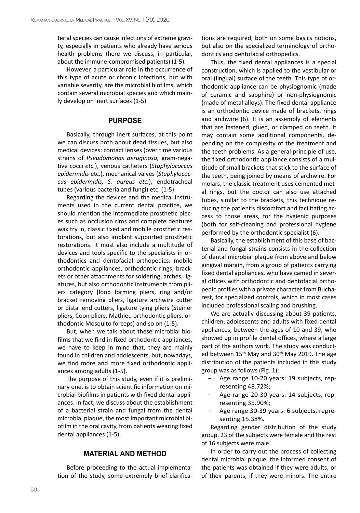terial species can cause infections of extreme gravity, especially in patients who already have serious health problems (here we discuss, in particular, about the immune-compromised patients) (1-5).

However, a particular role in the occurrence of this type of acute or chronic infections, but with variable severity, are the microbial biofilms, which contain several microbial species and which mainly develop on inert surfaces (1-5).

#### **Purpose**

Basically, through inert surfaces, at this point we can discuss both about dead tissues, but also medical devices: contact lenses (over time various strains of *Pseudomonas aeruginosa,* gram-negative cocci *etc.*), venous catheters (*Staphylococcus epidermidis* etc.), mechanical valves (*Staphylococcus epidermidis, S. aureus etc.*), endotracheal tubes (various bacteria and fungi) etc. (1-5).

Regarding the devices and the medical instruments used in the current dental practice, we should mention the intermediate prosthetic pieces such as occlusion rims and complete dentures wax try in, classic fixed and mobile prosthetic restorations, but also implant supported prosthetic restorations. It must also include a multitude of devices and tools specific to the specialists in orthodontics and dentofacial orthopedics: mobile orthodontic appliances, orthodontic rings, brackets or other attachments for soldering, arches, ligatures, but also orthodontic instruments from pliers category [loop forming pliers, ring and/or bracket removing pliers, ligature archwire cutter or distal end cutters, ligature tying pliers (Steiner pliers, Coon pliers, Mathieu orthodontic pliers, orthodontic Mosquito forceps) and so on (1-5).

But, when we talk about these microbial biofilms that we find in fixed orthodontic appliances, we have to keep in mind that, they are mainly found in children and adolescents, but, nowadays, we find more and more fixed orthodontic appliances among adults (1-5).

The purpose of this study, even if it is preliminary one, is to obtain scientific information on microbial biofilms in patients with fixed dental appliances. In fact, we discuss about the establishment of a bacterial strain and fungal from the dental microbial plaque, the most important microbial biofilm in the oral cavity, from patients wearing fixed dental appliances (1-5).

#### **Material and method**

Before proceeding to the actual implementation of the study, some extremely brief clarifications are required, both on some basics notions, but also on the specialized terminology of orthodontics and dentofacial orthopedics.

Thus, the fixed dental appliances is a special construction, which is applied to the vestibular or oral (lingual) surface of the teeth. This type of orthodontic appliance can be physiognomic (made of ceramic and sapphire) or non-physiognomic (made of metal alloys). The fixed dental appliance is an orthodontic device made of brackets, rings and archwire (6). It is an assembly of elements that are fastened, glued, or clamped on teeth. It may contain some additional components, depending on the complexity of the treatment and the teeth problems. As a general principle of use, the fixed orthodontic appliance consists of a multitude of small brackets that stick to the surface of the teeth, being joined by means of archwire. For molars, the classic treatment uses cemented metal rings, but the doctor can also use attached tubes, similar to the brackets, this technique reducing the patient's discomfort and facilitating access to those areas, for the hygienic purposes (both for self-cleaning and professional hygiene performed by the orthodontic specialist (6).

Basically, the establishment of this base of bacterial and fungal strains consists in the collection of dental microbial plaque from above and below gingival margin, from a group of patients carrying fixed dental appliances, who have camed in several offices with orthodontic and dentofacial orthopedic profiles with a private character from Bucharest, for specialized controls, which in most cases included professional scaling and brushing.

We are actually discussing about 39 patients, children, adolescents and adults with fixed dental appliances, between the ages of 10 and 39, who showed up in profile dental offices, where a large part of the authors work. The study was conducted between 15<sup>th</sup> May and 30<sup>th</sup> May 2019. The age distribution of the patients included in this study group was as follows (Fig. 1):

- − Age range 10-20 years: 19 subjects, representing 48.72%;
- − Age range 20-30 years: 14 subjects, representing 35.90%;
- − Age range 30-39 years: 6 subjects, representing 15.38%.

Regarding gender distribution of the study group, 23 of the subjects were female and the rest of 16 subjects were male.

In order to carry out the process of collecting dental microbial plaque, the informed consent of the patients was obtained if they were adults, or of their parents, if they were minors. The entire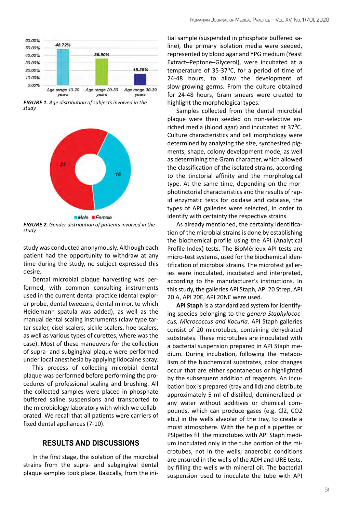

*FIGURE 1. Age distribution of subjects involved in the study*



*FIGURE 2. Gender distribution of patients involved in the study*

study was conducted anonymously. Although each patient had the opportunity to withdraw at any time during the study, no subject expressed this desire.

Dental microbial plaque harvesting was performed, with common consulting instruments used in the current dental practice (dental explorer probe, dental tweezers, dental mirror, to which Heidemann spatula was added), as well as the manual dental scaling instruments (claw type tartar scaler, cisel scalers, sickle scalers, hoe scalers, as well as various types of curettes, where was the case). Most of these maneuvers for the collection of supra- and subgingival plaque were performed under local anesthesia by applying lidocaine spray.

This process of collecting microbial dental plaque was performed before performing the procedures of professional scaling and brushing. All the collected samples were placed in phosphate buffered saline suspensions and transported to the microbiology laboratory with which we collaborated. We recall that all patients were carriers of fixed dental appliances (7-10).

#### **Results and discussions**

In the first stage, the isolation of the microbial strains from the supra- and subgingival dental plaque samples took place. Basically, from the ini-

tial sample (suspended in phosphate buffered saline), the primary isolation media were seeded, represented by blood agar and YPG medium (Yeast Extract–Peptone–Glycerol), were incubated at a temperature of 35-37°C, for a period of time of 24-48 hours, to allow the development of slow-growing germs. From the culture obtained for 24-48 hours, Gram smears were created to highlight the morphological types.

Samples collected from the dental microbial plaque were then seeded on non-selective enriched media (blood agar) and incubated at  $37^{\circ}$ C. Culture characteristics and cell morphology were determined by analyzing the size, synthesized pigments, shape, colony development mode, as well as determining the Gram character, which allowed the classification of the isolated strains, according to the tinctorial affinity and the morphological type. At the same time, depending on the morphotinctorial characteristics and the results of rapid enzymatic tests for oxidase and catalase, the types of API galleries were selected, in order to identify with certainty the respective strains.

As already mentioned, the certainty identification of the microbial strains is done by establishing the biochemical profile using the API (Analytical Profile Index) tests. The BioMérieux API tests are micro-test systems, used for the biochemical identification of microbial strains. The microtest galleries were inoculated, incubated and interpreted, according to the manufacturer's instructions. In this study, the galleries API Staph, API 20 Strep, API 20 A, API 20E, API 20NE were used.

**API Staph** is a standardized system for identifying species belonging to the *genera Staphylococcus, Micrococcus and Kocuria*. API Staph galleries consist of 20 microtubes, containing dehydrated substrates. These microtubes are inoculated with a bacterial suspension prepared in API Staph medium. During incubation, following the metabolism of the biochemical substrates, color changes occur that are either spontaneous or highlighted by the subsequent addition of reagents. An incubation box is prepared (tray and lid) and distribute approximately 5 ml of distilled, demineralized or any water without additives or chemical compounds, which can produce gases (e.g. Cl2, CO2 etc.) in the wells alveolar of the tray, to create a moist atmosphere. With the help of a pipettes or PSIpettes fill the microtubes with API Staph medium inoculated only in the tube portion of the microtubes, not in the wells; anaerobic conditions are ensured in the wells of the ADH and URE tests, by filling the wells with mineral oil. The bacterial suspension used to inoculate the tube with API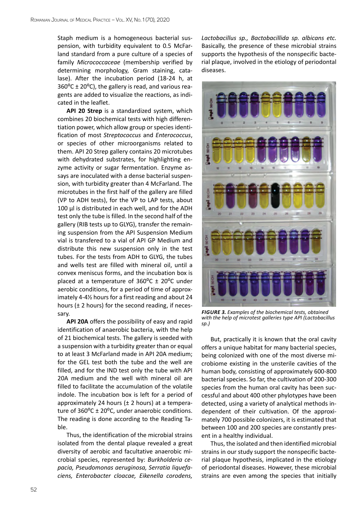Staph medium is a homogeneous bacterial suspension, with turbidity equivalent to 0.5 McFarland standard from a pure culture of a species of family *Micrococcaceae* (membership verified by determining morphology, Gram staining, catalase). After the incubation period (18-24 h, at  $360^{\circ}$ C ± 20 $^{\circ}$ C), the gallery is read, and various reagents are added to visualize the reactions, as indicated in the leaflet.

**API 20 Strep** is a standardized system, which combines 20 biochemical tests with high differentiation power, which allow group or species identification of most *Streptococcus* and *Enterococcus*, or species of other microorganisms related to them. API 20 Strep gallery contains 20 microtubes with dehydrated substrates, for highlighting enzyme activity or sugar fermentation. Enzyme assays are inoculated with a dense bacterial suspension, with turbidity greater than 4 McFarland. The microtubes in the first half of the gallery are filled (VP to ADH tests), for the VP to LAP tests, about 100 µl is distributed in each well, and for the ADH test only the tube is filled. In the second half of the gallery (RIB tests up to GLYG), transfer the remaining suspension from the API Suspension Medium vial is transfered to a vial of API GP Medium and distribute this new suspension only in the test tubes. For the tests from ADH to GLYG, the tubes and wells test are filled with mineral oil, until a convex meniscus forms, and the incubation box is placed at a temperature of  $360^{\circ}$ C  $\pm$  20<sup>o</sup>C under aerobic conditions, for a period of time of approximately 4-4½ hours for a first reading and about 24 hours ( $\pm$  2 hours) for the second reading, if necessary.

**API 20A** offers the possibility of easy and rapid identification of anaerobic bacteria, with the help of 21 biochemical tests. The gallery is seeded with a suspension with a turbidity greater than or equal to at least 3 McFarland made in API 20A medium; for the GEL test both the tube and the well are filled, and for the IND test only the tube with API 20A medium and the well with mineral oil are filled to facilitate the accumulation of the volatile indole. The incubation box is left for a period of approximately 24 hours ( $\pm$  2 hours) at a temperature of  $360^{\circ}C \pm 20^{\circ}C$ , under anaerobic conditions. The reading is done according to the Reading Table.

Thus, the identification of the microbial strains isolated from the dental plaque revealed a great diversity of aerobic and facultative anaerobic microbial species, represented by: *Burkholderia cepacia, Pseudomonas aeruginosa, Serratia liquefaciens, Enterobacter cloacae, Eikenella corodens,* 

*Lactobacillus sp., Bactobacillida sp. albicans etc.* Basically, the presence of these microbial strains supports the hypothesis of the nonspecific bacterial plaque, involved in the etiology of periodontal diseases.



*FIGURE 3. Examples of the biochemical tests, obtained with the help of microtest galleries type API (Lactobacillus sp.)*

But, practically it is known that the oral cavity offers a unique habitat for many bacterial species, being colonized with one of the most diverse microbiome existing in the unsterile cavities of the human body, consisting of approximately 600-800 bacterial species. So far, the cultivation of 200-300 species from the human oral cavity has been successful and about 400 other phylotypes have been detected, using a variety of analytical methods independent of their cultivation. Of the approximately 700 possible colonizers, it is estimated that between 100 and 200 species are constantly present in a healthy individual.

Thus, the isolated and then identified microbial strains in our study support the nonspecific bacterial plaque hypothesis, implicated in the etiology of periodontal diseases. However, these microbial strains are even among the species that initially